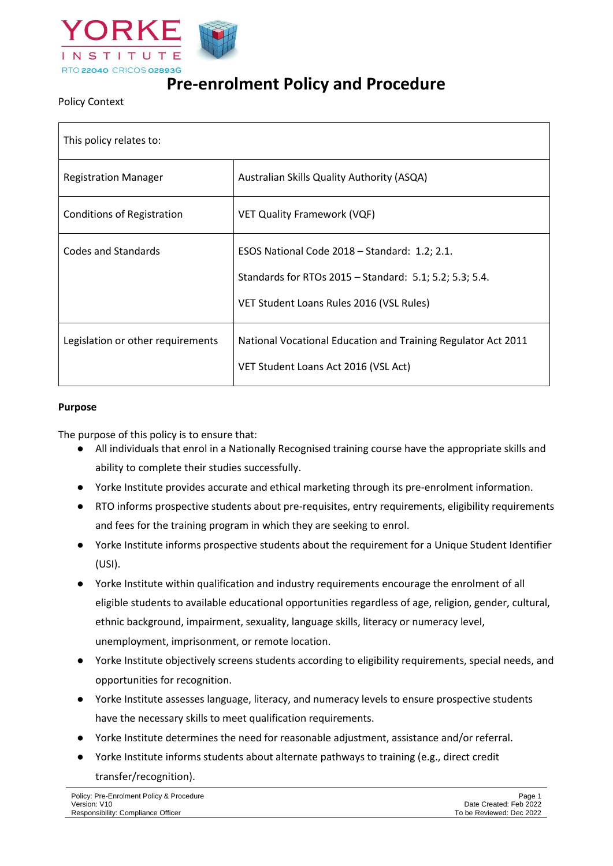

# **Pre-enrolment Policy and Procedure**

## Policy Context

| This policy relates to:           |                                                                                                                                                      |  |
|-----------------------------------|------------------------------------------------------------------------------------------------------------------------------------------------------|--|
| <b>Registration Manager</b>       | Australian Skills Quality Authority (ASQA)                                                                                                           |  |
| <b>Conditions of Registration</b> | <b>VET Quality Framework (VQF)</b>                                                                                                                   |  |
| Codes and Standards               | ESOS National Code 2018 – Standard: 1.2; 2.1.<br>Standards for RTOs 2015 - Standard: 5.1; 5.2; 5.3; 5.4.<br>VET Student Loans Rules 2016 (VSL Rules) |  |
| Legislation or other requirements | National Vocational Education and Training Regulator Act 2011<br>VET Student Loans Act 2016 (VSL Act)                                                |  |

#### **Purpose**

The purpose of this policy is to ensure that:

- All individuals that enrol in a Nationally Recognised training course have the appropriate skills and ability to complete their studies successfully.
- Yorke Institute provides accurate and ethical marketing through its pre-enrolment information.
- RTO informs prospective students about pre-requisites, entry requirements, eligibility requirements and fees for the training program in which they are seeking to enrol.
- Yorke Institute informs prospective students about the requirement for a Unique Student Identifier (USI).
- Yorke Institute within qualification and industry requirements encourage the enrolment of all eligible students to available educational opportunities regardless of age, religion, gender, cultural, ethnic background, impairment, sexuality, language skills, literacy or numeracy level, unemployment, imprisonment, or remote location.
- Yorke Institute objectively screens students according to eligibility requirements, special needs, and opportunities for recognition.
- Yorke Institute assesses language, literacy, and numeracy levels to ensure prospective students have the necessary skills to meet qualification requirements.
- Yorke Institute determines the need for reasonable adjustment, assistance and/or referral.
- Yorke Institute informs students about alternate pathways to training (e.g., direct credit transfer/recognition).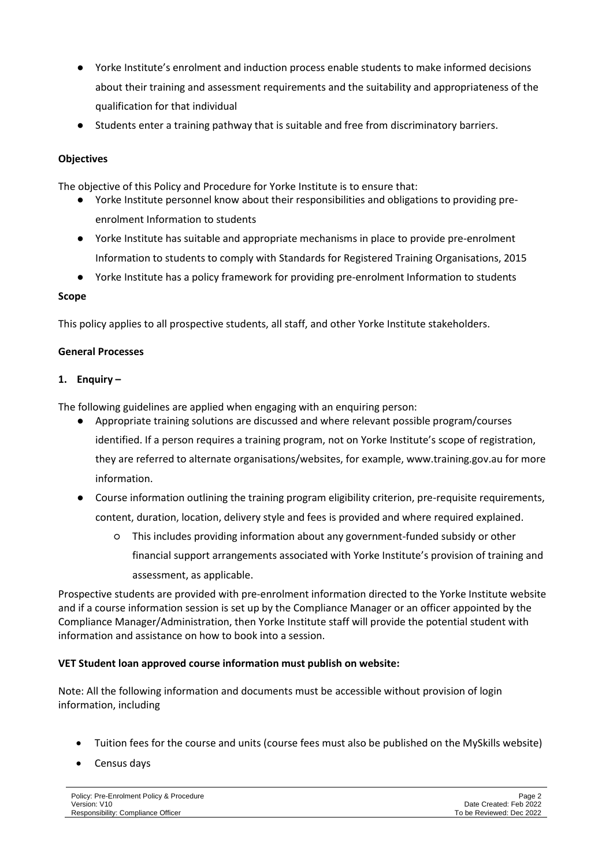- Yorke Institute's enrolment and induction process enable students to make informed decisions about their training and assessment requirements and the suitability and appropriateness of the qualification for that individual
- Students enter a training pathway that is suitable and free from discriminatory barriers.

## **Objectives**

The objective of this Policy and Procedure for Yorke Institute is to ensure that:

- Yorke Institute personnel know about their responsibilities and obligations to providing preenrolment Information to students
- Yorke Institute has suitable and appropriate mechanisms in place to provide pre-enrolment Information to students to comply with Standards for Registered Training Organisations, 2015
- Yorke Institute has a policy framework for providing pre-enrolment Information to students

#### **Scope**

This policy applies to all prospective students, all staff, and other Yorke Institute stakeholders.

#### **General Processes**

#### **1. Enquiry –**

The following guidelines are applied when engaging with an enquiring person:

- Appropriate training solutions are discussed and where relevant possible program/courses identified. If a person requires a training program, not on Yorke Institute's scope of registration, they are referred to alternate organisations/websites, for example, www.training.gov.au for more information.
- Course information outlining the training program eligibility criterion, pre-requisite requirements, content, duration, location, delivery style and fees is provided and where required explained.
	- This includes providing information about any government-funded subsidy or other financial support arrangements associated with Yorke Institute's provision of training and assessment, as applicable.

Prospective students are provided with pre-enrolment information directed to the Yorke Institute website and if a course information session is set up by the Compliance Manager or an officer appointed by the Compliance Manager/Administration, then Yorke Institute staff will provide the potential student with information and assistance on how to book into a session.

# **VET Student loan approved course information must publish on website:**

Note: All the following information and documents must be accessible without provision of login information, including

- Tuition fees for the course and units (course fees must also be published on the MySkills website)
- Census days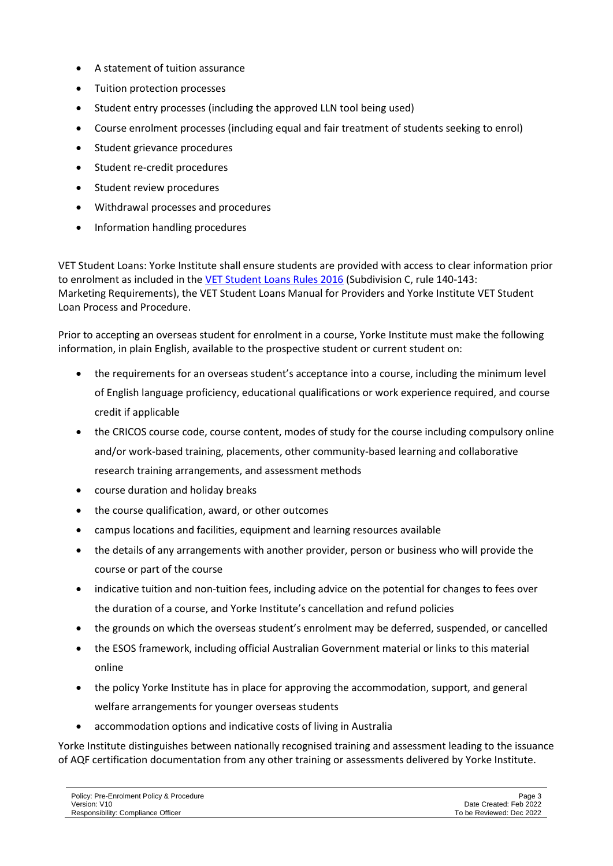- A statement of tuition assurance
- Tuition protection processes
- Student entry processes (including the approved LLN tool being used)
- Course enrolment processes (including equal and fair treatment of students seeking to enrol)
- Student grievance procedures
- Student re-credit procedures
- Student review procedures
- Withdrawal processes and procedures
- Information handling procedures

VET Student Loans: Yorke Institute shall ensure students are provided with access to clear information prior to enrolment as included in the [VET Student Loans Rules 2016](https://www.legislation.gov.au/Details/F2017C00963) (Subdivision C, rule 140-143: Marketing Requirements), the VET Student Loans Manual for Providers and Yorke Institute VET Student Loan Process and Procedure.

Prior to accepting an overseas student for enrolment in a course, Yorke Institute must make the following information, in plain English, available to the prospective student or current student on:

- the requirements for an overseas student's acceptance into a course, including the minimum level of English language proficiency, educational qualifications or work experience required, and course credit if applicable
- the CRICOS course code, course content, modes of study for the course including compulsory online and/or work-based training, placements, other community-based learning and collaborative research training arrangements, and assessment methods
- course duration and holiday breaks
- the course qualification, award, or other outcomes
- campus locations and facilities, equipment and learning resources available
- the details of any arrangements with another provider, person or business who will provide the course or part of the course
- indicative tuition and non-tuition fees, including advice on the potential for changes to fees over the duration of a course, and Yorke Institute's cancellation and refund policies
- the grounds on which the overseas student's enrolment may be deferred, suspended, or cancelled
- the ESOS framework, including official Australian Government material or links to this material online
- the policy Yorke Institute has in place for approving the accommodation, support, and general welfare arrangements for younger overseas students
- accommodation options and indicative costs of living in Australia

Yorke Institute distinguishes between nationally recognised training and assessment leading to the issuance of AQF certification documentation from any other training or assessments delivered by Yorke Institute.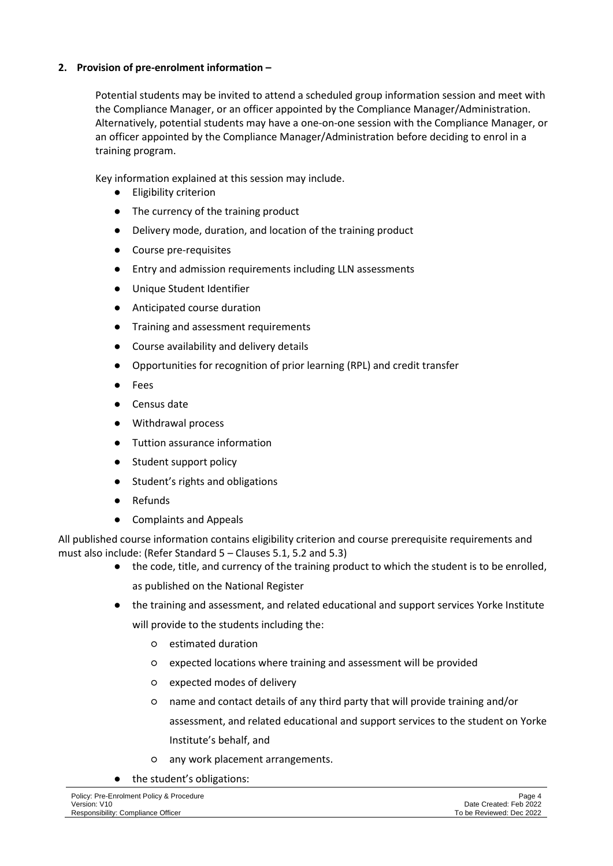# **2. Provision of pre-enrolment information –**

Potential students may be invited to attend a scheduled group information session and meet with the Compliance Manager, or an officer appointed by the Compliance Manager/Administration. Alternatively, potential students may have a one-on-one session with the Compliance Manager, or an officer appointed by the Compliance Manager/Administration before deciding to enrol in a training program.

Key information explained at this session may include.

- Eligibility criterion
- The currency of the training product
- Delivery mode, duration, and location of the training product
- Course pre-requisites
- Entry and admission requirements including LLN assessments
- Unique Student Identifier
- Anticipated course duration
- Training and assessment requirements
- Course availability and delivery details
- Opportunities for recognition of prior learning (RPL) and credit transfer
- **Fees**
- Census date
- Withdrawal process
- Tuttion assurance information
- Student support policy
- Student's rights and obligations
- **Refunds**
- **Complaints and Appeals**

All published course information contains eligibility criterion and course prerequisite requirements and must also include: (Refer Standard 5 – Clauses 5.1, 5.2 and 5.3)

- the code, title, and currency of the training product to which the student is to be enrolled, as published on the National Register
- the training and assessment, and related educational and support services Yorke Institute will provide to the students including the:
	- estimated duration
	- expected locations where training and assessment will be provided
	- expected modes of delivery
	- name and contact details of any third party that will provide training and/or assessment, and related educational and support services to the student on Yorke Institute's behalf, and
	- any work placement arrangements.
- the student's obligations: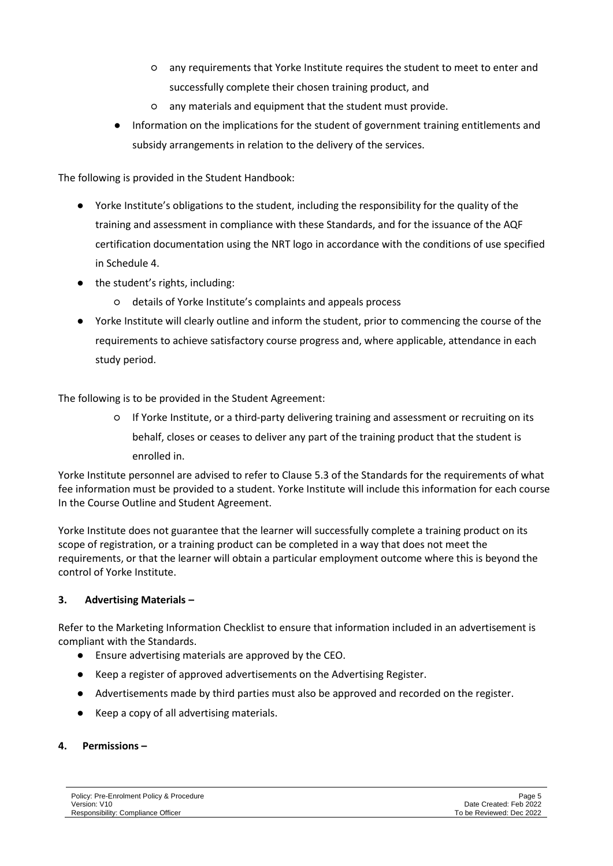- any requirements that Yorke Institute requires the student to meet to enter and successfully complete their chosen training product, and
- any materials and equipment that the student must provide.
- Information on the implications for the student of government training entitlements and subsidy arrangements in relation to the delivery of the services.

The following is provided in the Student Handbook:

- Yorke Institute's obligations to the student, including the responsibility for the quality of the training and assessment in compliance with these Standards, and for the issuance of the AQF certification documentation using the NRT logo in accordance with the conditions of use specified in Schedule 4.
- the student's rights, including:
	- details of Yorke Institute's complaints and appeals process
- Yorke Institute will clearly outline and inform the student, prior to commencing the course of the requirements to achieve satisfactory course progress and, where applicable, attendance in each study period.

The following is to be provided in the Student Agreement:

○ If Yorke Institute, or a third-party delivering training and assessment or recruiting on its behalf, closes or ceases to deliver any part of the training product that the student is enrolled in.

Yorke Institute personnel are advised to refer to Clause 5.3 of the Standards for the requirements of what fee information must be provided to a student. Yorke Institute will include this information for each course In the Course Outline and Student Agreement.

Yorke Institute does not guarantee that the learner will successfully complete a training product on its scope of registration, or a training product can be completed in a way that does not meet the requirements, or that the learner will obtain a particular employment outcome where this is beyond the control of Yorke Institute.

# **3. Advertising Materials –**

Refer to the Marketing Information Checklist to ensure that information included in an advertisement is compliant with the Standards.

- Ensure advertising materials are approved by the CEO.
- Keep a register of approved advertisements on the Advertising Register.
- Advertisements made by third parties must also be approved and recorded on the register.
- Keep a copy of all advertising materials.

# **4. Permissions –**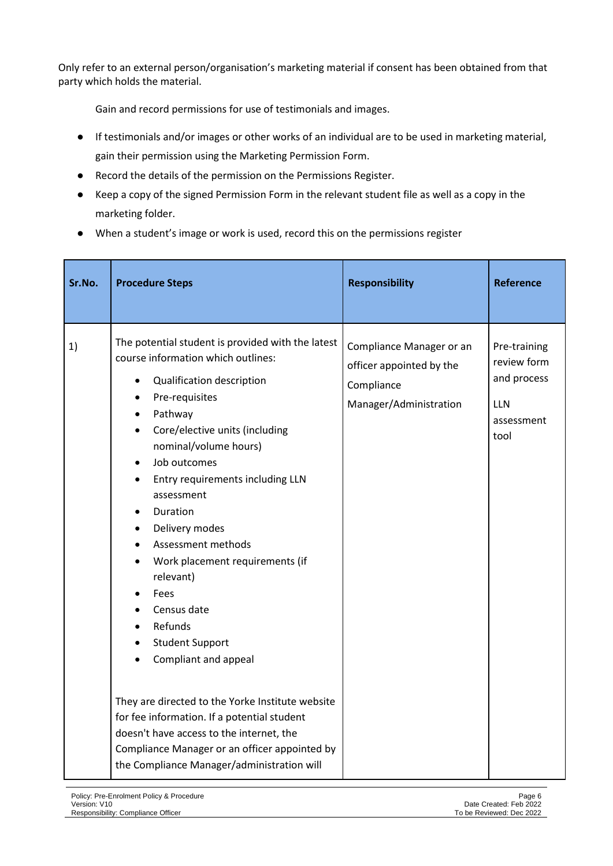Only refer to an external person/organisation's marketing material if consent has been obtained from that party which holds the material.

Gain and record permissions for use of testimonials and images.

- If testimonials and/or images or other works of an individual are to be used in marketing material, gain their permission using the Marketing Permission Form.
- Record the details of the permission on the Permissions Register.
- Keep a copy of the signed Permission Form in the relevant student file as well as a copy in the marketing folder.
- When a student's image or work is used, record this on the permissions register

| Sr.No. | <b>Procedure Steps</b>                                                                                                                                                                                                                                                                                                                                                                                                                                                                                                                                                                                                                                                                                                                                           | <b>Responsibility</b>                                                                        | <b>Reference</b>                                                               |
|--------|------------------------------------------------------------------------------------------------------------------------------------------------------------------------------------------------------------------------------------------------------------------------------------------------------------------------------------------------------------------------------------------------------------------------------------------------------------------------------------------------------------------------------------------------------------------------------------------------------------------------------------------------------------------------------------------------------------------------------------------------------------------|----------------------------------------------------------------------------------------------|--------------------------------------------------------------------------------|
| 1)     | The potential student is provided with the latest<br>course information which outlines:<br>Qualification description<br>Pre-requisites<br>$\bullet$<br>Pathway<br>٠<br>Core/elective units (including<br>$\bullet$<br>nominal/volume hours)<br>Job outcomes<br>Entry requirements including LLN<br>assessment<br>Duration<br>Delivery modes<br>$\bullet$<br>Assessment methods<br>Work placement requirements (if<br>relevant)<br>Fees<br>Census date<br>Refunds<br><b>Student Support</b><br>Compliant and appeal<br>They are directed to the Yorke Institute website<br>for fee information. If a potential student<br>doesn't have access to the internet, the<br>Compliance Manager or an officer appointed by<br>the Compliance Manager/administration will | Compliance Manager or an<br>officer appointed by the<br>Compliance<br>Manager/Administration | Pre-training<br>review form<br>and process<br><b>LLN</b><br>assessment<br>tool |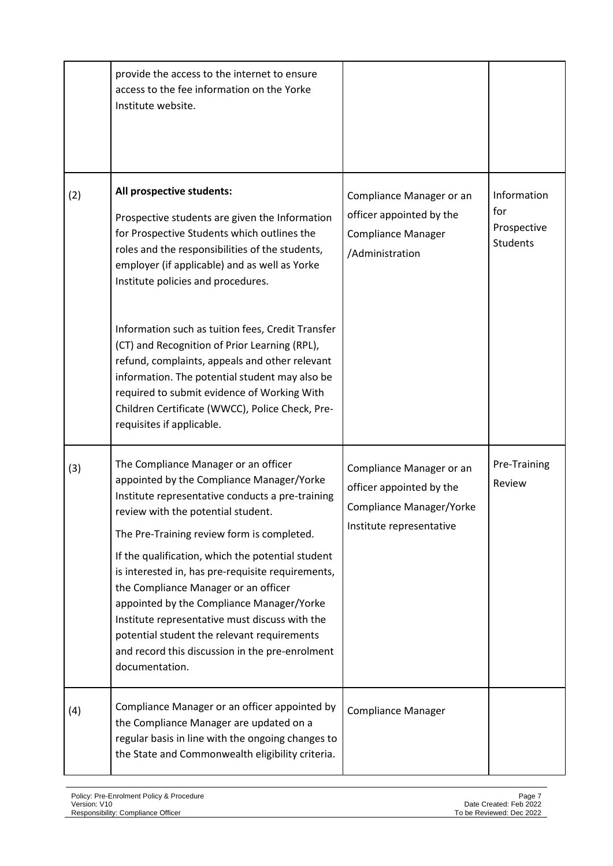|     | provide the access to the internet to ensure<br>access to the fee information on the Yorke<br>Institute website.                                                                                                                                                                                                                                                                                                                                                                                                                                                                               |                                                                                                              |                                                      |
|-----|------------------------------------------------------------------------------------------------------------------------------------------------------------------------------------------------------------------------------------------------------------------------------------------------------------------------------------------------------------------------------------------------------------------------------------------------------------------------------------------------------------------------------------------------------------------------------------------------|--------------------------------------------------------------------------------------------------------------|------------------------------------------------------|
| (2) | All prospective students:<br>Prospective students are given the Information<br>for Prospective Students which outlines the<br>roles and the responsibilities of the students,<br>employer (if applicable) and as well as Yorke<br>Institute policies and procedures.<br>Information such as tuition fees, Credit Transfer<br>(CT) and Recognition of Prior Learning (RPL),                                                                                                                                                                                                                     | Compliance Manager or an<br>officer appointed by the<br><b>Compliance Manager</b><br>/Administration         | Information<br>for<br>Prospective<br><b>Students</b> |
|     | refund, complaints, appeals and other relevant<br>information. The potential student may also be<br>required to submit evidence of Working With<br>Children Certificate (WWCC), Police Check, Pre-<br>requisites if applicable.                                                                                                                                                                                                                                                                                                                                                                |                                                                                                              |                                                      |
| (3) | The Compliance Manager or an officer<br>appointed by the Compliance Manager/Yorke<br>Institute representative conducts a pre-training<br>review with the potential student.<br>The Pre-Training review form is completed.<br>If the qualification, which the potential student<br>is interested in, has pre-requisite requirements,<br>the Compliance Manager or an officer<br>appointed by the Compliance Manager/Yorke<br>Institute representative must discuss with the<br>potential student the relevant requirements<br>and record this discussion in the pre-enrolment<br>documentation. | Compliance Manager or an<br>officer appointed by the<br>Compliance Manager/Yorke<br>Institute representative | Pre-Training<br>Review                               |
| (4) | Compliance Manager or an officer appointed by<br>the Compliance Manager are updated on a<br>regular basis in line with the ongoing changes to<br>the State and Commonwealth eligibility criteria.                                                                                                                                                                                                                                                                                                                                                                                              | <b>Compliance Manager</b>                                                                                    |                                                      |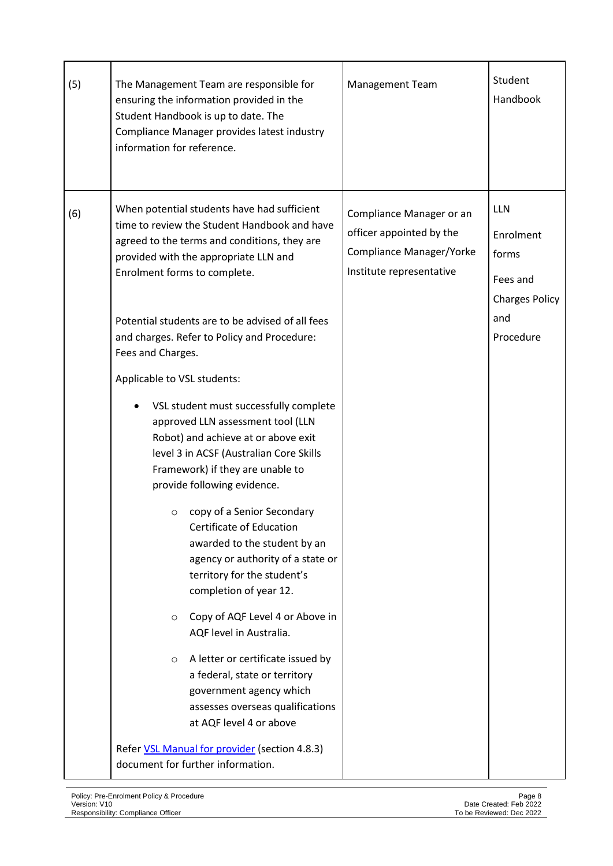| (5) | The Management Team are responsible for<br>ensuring the information provided in the<br>Student Handbook is up to date. The<br>Compliance Manager provides latest industry<br>information for reference.                                                                                                                                                                                                                                                                                                                                                                                                                                                                                                                                                                                                                                                                                                                                                                                                                                                                                                           | <b>Management Team</b>                                                                                       | Student<br>Handbook                                                                       |
|-----|-------------------------------------------------------------------------------------------------------------------------------------------------------------------------------------------------------------------------------------------------------------------------------------------------------------------------------------------------------------------------------------------------------------------------------------------------------------------------------------------------------------------------------------------------------------------------------------------------------------------------------------------------------------------------------------------------------------------------------------------------------------------------------------------------------------------------------------------------------------------------------------------------------------------------------------------------------------------------------------------------------------------------------------------------------------------------------------------------------------------|--------------------------------------------------------------------------------------------------------------|-------------------------------------------------------------------------------------------|
| (6) | When potential students have had sufficient<br>time to review the Student Handbook and have<br>agreed to the terms and conditions, they are<br>provided with the appropriate LLN and<br>Enrolment forms to complete.<br>Potential students are to be advised of all fees<br>and charges. Refer to Policy and Procedure:<br>Fees and Charges.<br>Applicable to VSL students:<br>VSL student must successfully complete<br>approved LLN assessment tool (LLN<br>Robot) and achieve at or above exit<br>level 3 in ACSF (Australian Core Skills<br>Framework) if they are unable to<br>provide following evidence.<br>copy of a Senior Secondary<br>O<br>Certificate of Education<br>awarded to the student by an<br>agency or authority of a state or<br>territory for the student's<br>completion of year 12.<br>Copy of AQF Level 4 or Above in<br>$\circ$<br>AQF level in Australia.<br>A letter or certificate issued by<br>$\circ$<br>a federal, state or territory<br>government agency which<br>assesses overseas qualifications<br>at AQF level 4 or above<br>Refer VSL Manual for provider (section 4.8.3) | Compliance Manager or an<br>officer appointed by the<br>Compliance Manager/Yorke<br>Institute representative | <b>LLN</b><br>Enrolment<br>forms<br>Fees and<br><b>Charges Policy</b><br>and<br>Procedure |
|     | document for further information.                                                                                                                                                                                                                                                                                                                                                                                                                                                                                                                                                                                                                                                                                                                                                                                                                                                                                                                                                                                                                                                                                 |                                                                                                              |                                                                                           |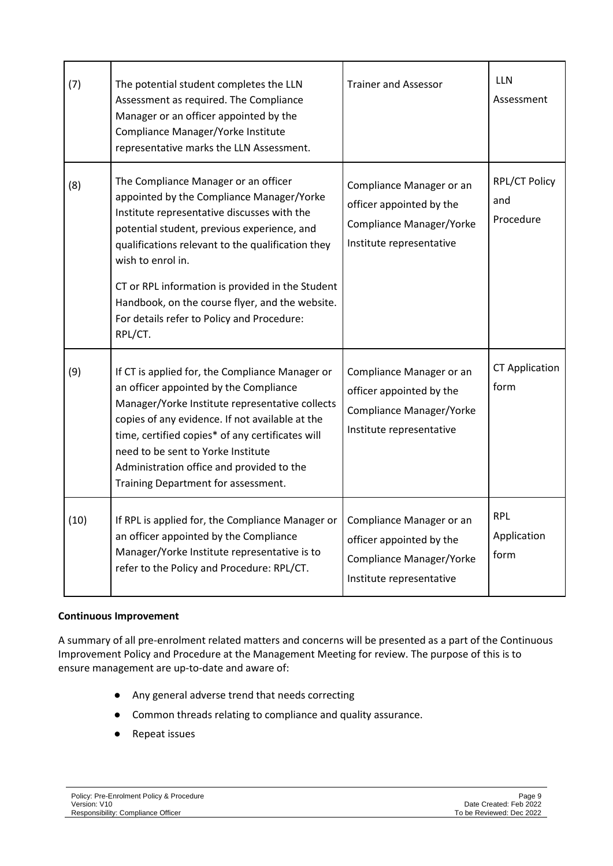| (7)  | The potential student completes the LLN<br>Assessment as required. The Compliance<br>Manager or an officer appointed by the<br>Compliance Manager/Yorke Institute<br>representative marks the LLN Assessment.                                                                                                                                                                                                             | <b>Trainer and Assessor</b>                                                                                         | <b>LLN</b><br>Assessment          |
|------|---------------------------------------------------------------------------------------------------------------------------------------------------------------------------------------------------------------------------------------------------------------------------------------------------------------------------------------------------------------------------------------------------------------------------|---------------------------------------------------------------------------------------------------------------------|-----------------------------------|
| (8)  | The Compliance Manager or an officer<br>appointed by the Compliance Manager/Yorke<br>Institute representative discusses with the<br>potential student, previous experience, and<br>qualifications relevant to the qualification they<br>wish to enrol in.<br>CT or RPL information is provided in the Student<br>Handbook, on the course flyer, and the website.<br>For details refer to Policy and Procedure:<br>RPL/CT. | Compliance Manager or an<br>officer appointed by the<br><b>Compliance Manager/Yorke</b><br>Institute representative | RPL/CT Policy<br>and<br>Procedure |
| (9)  | If CT is applied for, the Compliance Manager or<br>an officer appointed by the Compliance<br>Manager/Yorke Institute representative collects<br>copies of any evidence. If not available at the<br>time, certified copies* of any certificates will<br>need to be sent to Yorke Institute<br>Administration office and provided to the<br>Training Department for assessment.                                             | Compliance Manager or an<br>officer appointed by the<br><b>Compliance Manager/Yorke</b><br>Institute representative | <b>CT Application</b><br>form     |
| (10) | If RPL is applied for, the Compliance Manager or<br>an officer appointed by the Compliance<br>Manager/Yorke Institute representative is to<br>refer to the Policy and Procedure: RPL/CT.                                                                                                                                                                                                                                  | Compliance Manager or an<br>officer appointed by the<br><b>Compliance Manager/Yorke</b><br>Institute representative | <b>RPL</b><br>Application<br>form |

# **Continuous Improvement**

A summary of all pre-enrolment related matters and concerns will be presented as a part of the Continuous Improvement Policy and Procedure at the Management Meeting for review. The purpose of this is to ensure management are up-to-date and aware of:

- Any general adverse trend that needs correcting
- Common threads relating to compliance and quality assurance.
- Repeat issues